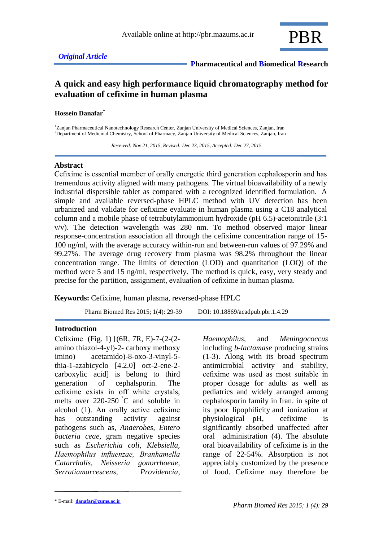

# **A quick and easy high performance liquid chromatography method for evaluation of cefixime in human plasma**

#### **Hossein Danafar\***

<sup>1</sup>Zanjan Pharmaceutical Nanotechnology Research Center, Zanjan University of Medical Sciences, Zanjan, Iran <sup>2</sup>Department of Medicinal Chemistry, School of Pharmacy, Zanjan University of Medical Sciences, Zanjan, Iran

 *Received: Nov 21, 2015, Revised: Dec 23, 2015, Accepted: Dec 27, 2015*

#### **Abstract**

Cefixime is essential member of orally energetic third generation cephalosporin and has tremendous activity aligned with many pathogens. The virtual bioavailability of a newly industrial dispersible tablet as compared with a recognized identified formulation. A simple and available reversed-phase HPLC method with UV detection has been urbanized and validate for cefixime evaluate in human plasma using a C18 analytical column and a mobile phase of tetrabutylammonium hydroxide (pH 6.5)-acetonitrile (3:1 v/v). The detection wavelength was 280 nm. To method observed major linear response-concentration association all through the cefixime concentration range of 15- 100 ng/ml, with the average accuracy within-run and between-run values of 97.29% and 99.27%. The average drug recovery from plasma was 98.2% throughout the linear concentration range. The limits of detection (LOD) and quantitation (LOQ) of the method were 5 and 15 ng/ml, respectively. The method is quick, easy, very steady and precise for the partition, assignment, evaluation of cefixime in human plasma.

**Keywords:** Cefixime, human plasma, reversed-phase HPLC

Pharm Biomed Res 2015; 1(4): 29-39 DOI: 10.18869/acadpub.pbr.1.4.29

#### **Introduction**

Cefixime (Fig. 1) [(6R, 7R, E)-7-(2-(2 amino thiazol-4-yl)-2- carboxy methoxy imino) acetamido)-8-oxo-3-vinyl-5 thia-1-azabicyclo [4.2.0] oct-2-ene-2 carboxylic acid] is belong to third generation of cephalsporin. The cefixime exists in off white crystals, melts over 220-250 °C and soluble in alcohol (1). An orally active cefixime has outstanding activity against pathogens such as, *Anaerobes, Entero bacteria ceae*, gram negative species such as *Escherichia coli, Klebsiella, Haemophilus influenzae, Branhamella Catarrhalis, Neisseria gonorrhoeae, Serratiamarcescens, Providencia*,

*Haemophilus*, and *Meningococcus* including *b-lactamase* producing strains (1-3). Along with its broad spectrum antimicrobial activity and stability, cefixime was used as most suitable in proper dosage for adults as well as pediatrics and widely arranged among cephalosporin family in Iran. in spite of its poor lipophilicity and ionization at physiological pH, cefixime is significantly absorbed unaffected after oral administration (4). The absolute oral bioavailability of cefixime is in the range of 22-54%. Absorption is not appreciably customized by the presence of food. Cefixime may therefore be

<sup>\*</sup> E-mail: **danafar@zums.ac.ir**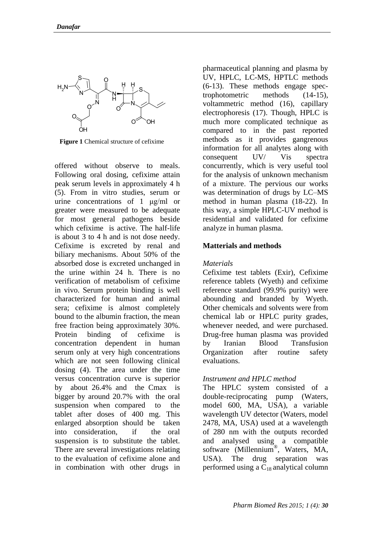

**Figure 1** Chemical structure of cefixime

offered without observe to meals. Following oral dosing, cefixime attain peak serum levels in approximately 4 h (5). From in vitro studies, serum or urine concentrations of 1 μg/ml or greater were measured to be adequate for most general pathogens beside which cefixime is active. The half-life is about 3 to 4 h and is not dose needy. Cefixime is excreted by renal and biliary mechanisms. About 50% of the absorbed dose is excreted unchanged in the urine within 24 h. There is no verification of metabolism of cefixime in vivo. Serum protein binding is well characterized for human and animal sera; cefixime is almost completely bound to the albumin fraction, the mean free fraction being approximately 30%. Protein binding of cefixime is concentration dependent in human serum only at very high concentrations which are not seen following clinical dosing (4). The area under the time versus concentration curve is superior by about 26.4% and the Cmax is bigger by around 20.7% with the oral suspension when compared to the tablet after doses of 400 mg. This enlarged absorption should be taken into consideration, if the oral suspension is to substitute the tablet. There are several investigations relating to the evaluation of cefixime alone and in combination with other drugs in

pharmaceutical planning and plasma by UV, HPLC, LC-MS, HPTLC methods (6-13). These methods engage spectrophotometric methods (14-15), voltammetric method (16), capillary electrophoresis (17). Though, HPLC is much more complicated technique as compared to in the past reported methods as it provides gangrenous information for all analytes along with consequent UV/ Vis spectra concurrently, which is very useful tool for the analysis of unknown mechanism of a mixture. The pervious our works was determination of drugs by LC–MS method in human plasma (18-22). In this way, a simple HPLC-UV method is residential and validated for cefixime analyze in human plasma.

#### **Matterials and methods**

#### *Materials*

Cefixime test tablets (Exir), Cefixime reference tablets (Wyeth) and cefixime reference standard (99.9% purity) were abounding and branded by Wyeth. Other chemicals and solvents were from chemical lab or HPLC purity grades, whenever needed, and were purchased. Drug-free human plasma was provided by Iranian Blood Transfusion Organization after routine safety evaluations.

# *Instrument and HPLC method*

The HPLC system consisted of a double-reciprocating pump (Waters, model 600, MA, USA), a variable wavelength UV detector (Waters, model 2478, MA, USA) used at a wavelength of 280 nm with the outputs recorded and analysed using a compatible software (Millennium® , Waters, MA, USA). The drug separation was performed using a  $C_{18}$  analytical column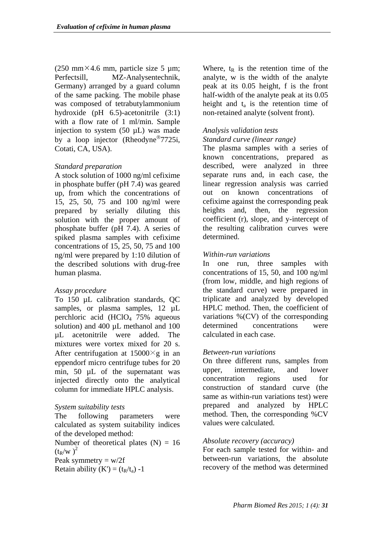(250 mm $\times$ 4.6 mm, particle size 5 µm; Perfectsill, MZ-Analysentechnik, Germany) arranged by a guard column of the same packing. The mobile phase was composed of tetrabutylammonium hydroxide (pH 6.5)-acetonitrile (3:1) with a flow rate of 1 ml/min. Sample injection to system  $(50 \mu L)$  was made by a loop injector (Rheodyne<sup>®</sup>7725i, Cotati, CA, USA).

# *Standard preparation*

A stock solution of 1000 ng/ml cefixime in phosphate buffer (pH 7.4) was geared up, from which the concentrations of 15, 25, 50, 75 and 100 ng/ml were prepared by serially diluting this solution with the proper amount of phosphate buffer (pH 7.4). A series of spiked plasma samples with cefixime concentrations of 15, 25, 50, 75 and 100 ng/ml were prepared by 1:10 dilution of the described solutions with drug-free human plasma.

# *Assay procedure*

To 150 µL calibration standards, QC samples, or plasma samples, 12  $\mu$ L perchloric acid (HClO<sup>4</sup> 75% aqueous solution) and 400 µL methanol and 100 µL acetonitrile were added. The mixtures were vortex mixed for 20 s. After centrifugation at  $15000 \times g$  in an eppendorf micro centrifuge tubes for 20 min, 50 µL of the supernatant was injected directly onto the analytical column for immediate HPLC analysis.

# *System suitability tests*

The following parameters were calculated as system suitability indices of the developed method:

Number of theoretical plates  $(N) = 16$  $(t_R/w)^2$ 

Peak symmetry  $= w/2f$ 

Retain ability  $(K') = (t_R/t_a) -1$ 

Where,  $t_R$  is the retention time of the analyte, w is the width of the analyte peak at its 0.05 height, f is the front half-width of the analyte peak at its 0.05 height and  $t_a$  is the retention time of non-retained analyte (solvent front).

# *Analysis validation tests*

# *Standard curve (linear range)*

The plasma samples with a series of known concentrations, prepared as described, were analyzed in three separate runs and, in each case, the linear regression analysis was carried out on known concentrations of cefixime against the corresponding peak heights and, then, the regression coefficient (r), slope, and y-intercept of the resulting calibration curves were determined.

# *Within-run variations*

In one run, three samples with concentrations of 15, 50, and 100 ng/ml (from low, middle, and high regions of the standard curve) were prepared in triplicate and analyzed by developed HPLC method. Then, the coefficient of variations %(CV) of the corresponding determined concentrations were calculated in each case.

# *Between-run variations*

On three different runs, samples from upper, intermediate, and lower concentration regions used for construction of standard curve (the same as within-run variations test) were prepared and analyzed by HPLC method. Then, the corresponding %CV values were calculated.

# *Absolute recovery (accuracy)*

For each sample tested for within- and between-run variations, the absolute recovery of the method was determined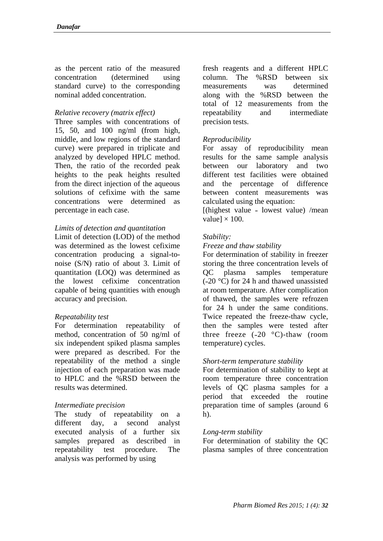as the percent ratio of the measured concentration (determined using standard curve) to the corresponding nominal added concentration.

# *Relative recovery (matrix effect)*

Three samples with concentrations of 15, 50, and 100 ng/ml (from high, middle, and low regions of the standard curve) were prepared in triplicate and analyzed by developed HPLC method. Then, the ratio of the recorded peak heights to the peak heights resulted from the direct injection of the aqueous solutions of cefixime with the same concentrations were determined as percentage in each case.

### *Limits of detection and quantitation*

Limit of detection (LOD) of the method was determined as the lowest cefixime concentration producing a signal-tonoise (S/N) ratio of about 3. Limit of quantitation (LOQ) was determined as the lowest cefixime concentration capable of being quantities with enough accuracy and precision.

# *Repeatability test*

For determination repeatability of method, concentration of 50 ng/ml of six independent spiked plasma samples were prepared as described. For the repeatability of the method a single injection of each preparation was made to HPLC and the %RSD between the results was determined.

#### *Intermediate precision*

The study of repeatability on a different day, a second analyst executed analysis of a further six samples prepared as described in repeatability test procedure. The analysis was performed by using

fresh reagents and a different HPLC column. The %RSD between six measurements was determined along with the %RSD between the total of 12 measurements from the repeatability and intermediate precision tests.

### *Reproducibility*

For assay of reproducibility mean results for the same sample analysis between our laboratory and two different test facilities were obtained and the percentage of difference between content measurements was calculated using the equation:

 $[$ (highest value – lowest value) /mean value]  $\times$  100.

#### *Stability:*

#### *Freeze and thaw stability*

For determination of stability in freezer storing the three concentration levels of QC plasma samples temperature  $(-20 °C)$  for 24 h and thawed unassisted at room temperature. After complication of thawed, the samples were refrozen for 24 h under the same conditions. Twice repeated the freeze-thaw cycle, then the samples were tested after three freeze  $(-20 \degree C)$ -thaw (room temperature) cycles.

#### *Short-term temperature stability*

For determination of stability to kept at room temperature three concentration levels of QC plasma samples for a period that exceeded the routine preparation time of samples (around 6  $h$ ).

#### *Long-term stability*

For determination of stability the QC plasma samples of three concentration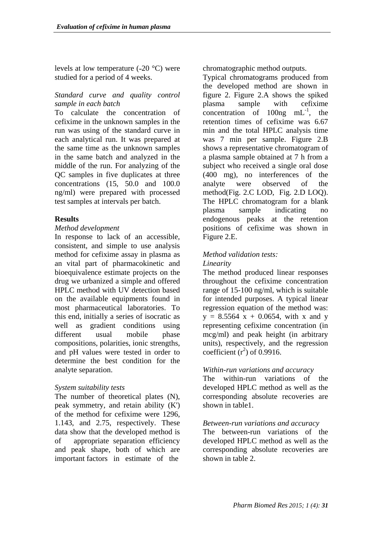levels at low temperature  $(-20 \degree C)$  were studied for a period of 4 weeks.

## *Standard curve and quality control sample in each batch*

To calculate the concentration of cefixime in the unknown samples in the run was using of the standard curve in each analytical run. It was prepared at the same time as the unknown samples in the same batch and analyzed in the middle of the run. For analyzing of the QC samples in five duplicates at three concentrations (15, 50.0 and 100.0 ng/ml) were prepared with processed test samples at intervals per batch.

### **Results**

#### *Method development*

In response to lack of an accessible, consistent, and simple to use analysis method for cefixime assay in plasma as an vital part of pharmacokinetic and bioequivalence estimate projects on the drug we urbanized a simple and offered HPLC method with UV detection based on the available equipments found in most pharmaceutical laboratories. To this end, initially a series of isocratic as well as gradient conditions using different usual mobile phase compositions, polarities, ionic strengths, and pH values were tested in order to determine the best condition for the analyte separation.

#### *System suitability tests*

The number of theoretical plates  $(N)$ , peak symmetry, and retain ability (K') of the method for cefixime were 1296, 1.143, and 2.75, respectively. These data show that the developed method is of appropriate separation efficiency and peak shape, both of which are important factors in estimate of the

chromatographic method outputs.

Typical chromatograms produced from the developed method are shown in figure 2. Figure 2.A shows the spiked plasma sample with cefixime concentration of  $100ng$  mL<sup>-1</sup>, the retention times of cefixime was 6.67 min and the total HPLC analysis time was 7 min per sample. Figure 2.B shows a representative chromatogram of a plasma sample obtained at 7 h from a subject who received a single oral dose (400 mg), no interferences of the analyte were observed of the method(Fig. 2.C LOD, Fig. 2.D LOQ). The HPLC chromatogram for a blank plasma sample indicating no endogenous peaks at the retention positions of cefixime was shown in Figure 2.E.

#### *Method validation tests: Linearity*

The method produced linear responses throughout the cefixime concentration range of 15-100 ng/ml, which is suitable for intended purposes. A typical linear regression equation of the method was:  $y = 8.5564$  x + 0.0654, with x and y representing cefixime concentration (in mcg/ml) and peak height (in arbitrary units), respectively, and the regression coefficient  $(r^2)$  of 0.9916.

# *Within-run variations and accuracy*

The within-run variations of the developed HPLC method as well as the corresponding absolute recoveries are shown in table1.

#### *Between-run variations and accuracy*

The between-run variations of the developed HPLC method as well as the corresponding absolute recoveries are shown in table 2.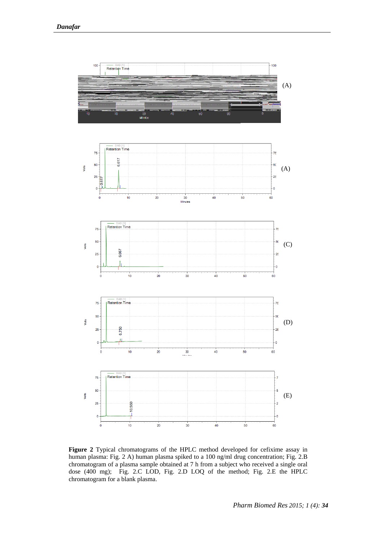

**Figure 2** Typical chromatograms of the HPLC method developed for cefixime assay in human plasma: Fig. 2 A) human plasma spiked to a 100 ng/ml drug concentration; Fig. 2.B chromatogram of a plasma sample obtained at 7 h from a subject who received a single oral dose (400 mg); Fig. 2.C LOD, Fig. 2.D LOQ of the method; Fig. 2.E the HPLC chromatogram for a blank plasma.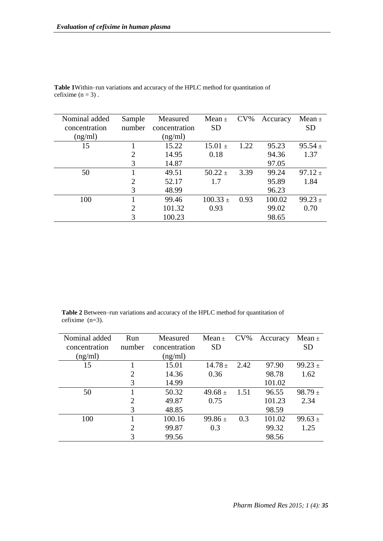| Nominal added | Sample | Measured      | Mean $\pm$   | $CV\%$ | Accuracy | Mean $\pm$  |
|---------------|--------|---------------|--------------|--------|----------|-------------|
| concentration | number | concentration | <b>SD</b>    |        |          | <b>SD</b>   |
| (ng/ml)       |        | (ng/ml)       |              |        |          |             |
| 15            |        | 15.22         | $15.01 \pm$  | 1.22   | 95.23    | $95.54 \pm$ |
|               | 2      | 14.95         | 0.18         |        | 94.36    | 1.37        |
|               | 3      | 14.87         |              |        | 97.05    |             |
| 50            |        | 49.51         | $50.22 \pm$  | 3.39   | 99.24    | $97.12 +$   |
|               | 2      | 52.17         | 1.7          |        | 95.89    | 1.84        |
|               | 3      | 48.99         |              |        | 96.23    |             |
| 100           |        | 99.46         | $100.33 \pm$ | 0.93   | 100.02   | 99.23 $\pm$ |
|               | 2      | 101.32        | 0.93         |        | 99.02    | 0.70        |
|               | 3      | 100.23        |              |        | 98.65    |             |

**Table 1**Within–run variations and accuracy of the HPLC method for quantitation of cefixime  $(n = 3)$ .

**Table 2** Between–run variations and accuracy of the HPLC method for quantitation of cefixime (n=3).

| Nominal added | Run            | Measured      | Mean $\pm$  | $CV\%$ | Accuracy | Mean $\pm$  |
|---------------|----------------|---------------|-------------|--------|----------|-------------|
| concentration | number         | concentration | <b>SD</b>   |        |          | <b>SD</b>   |
| (ng/ml)       |                | (ng/ml)       |             |        |          |             |
| 15            |                | 15.01         | $14.78 \pm$ | 2.42   | 97.90    | $99.23 \pm$ |
|               | 2              | 14.36         | 0.36        |        | 98.78    | 1.62        |
|               | 3              | 14.99         |             |        | 101.02   |             |
| 50            |                | 50.32         | 49.68 $\pm$ | 1.51   | 96.55    | $98.79 \pm$ |
|               | $\overline{2}$ | 49.87         | 0.75        |        | 101.23   | 2.34        |
|               | 3              | 48.85         |             |        | 98.59    |             |
| 100           |                | 100.16        | $99.86 \pm$ | 0.3    | 101.02   | 99.63 $\pm$ |
|               | $\overline{2}$ | 99.87         | 0.3         |        | 99.32    | 1.25        |
|               | 3              | 99.56         |             |        | 98.56    |             |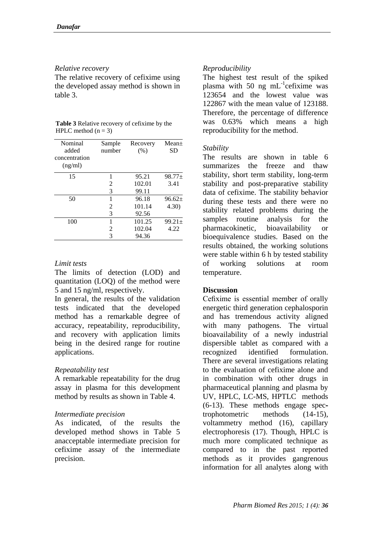#### *Relative recovery*

The relative recovery of cefixime using the developed assay method is shown in table 3.

| <b>Table 3</b> Relative recovery of cefixime by the |  |
|-----------------------------------------------------|--|
| HPLC method $(n = 3)$                               |  |

| Nominal<br>added<br>concentration | Sample<br>number | Recovery<br>(% ) | Mean <sub>±</sub><br>SD |
|-----------------------------------|------------------|------------------|-------------------------|
| (ng/ml)                           |                  |                  |                         |
| 15                                | 1                | 95.21            | $98.77+$                |
|                                   | 2                | 102.01           | 3.41                    |
|                                   | 3                | 99.11            |                         |
| 50                                | 1                | 96.18            | $96.62+$                |
|                                   | 2                | 101.14           | 4.30)                   |
|                                   | 3                | 92.56            |                         |
| 100                               | 1                | 101.25           | $99.21 \pm$             |
|                                   | 2                | 102.04           | 4.22                    |
|                                   | 3                | 94.36            |                         |

#### *Limit tests*

The limits of detection (LOD) and quantitation (LOQ) of the method were 5 and 15 ng/ml, respectively.

In general, the results of the validation tests indicated that the developed method has a remarkable degree of accuracy, repeatability, reproducibility, and recovery with application limits being in the desired range for routine applications.

#### *Repeatability test*

A remarkable repeatability for the drug assay in plasma for this development method by results as shown in Table 4.

#### *Intermediate precision*

As indicated, of the results the developed method shows in Table 5 anacceptable intermediate precision for cefixime assay of the intermediate precision.

## *Reproducibility*

The highest test result of the spiked plasma with 50 ng mL<sup>-1</sup>cefixime was 123654 and the lowest value was 122867 with the mean value of 123188. Therefore, the percentage of difference was 0.63% which means a high reproducibility for the method.

#### *Stability*

The results are shown in table 6 summarizes the freeze and thaw stability, short term stability, long-term stability and post-preparative stability data of cefixime. The stability behavior during these tests and there were no stability related problems during the samples routine analysis for the pharmacokinetic, bioavailability or bioequivalence studies. Based on the results obtained, the working solutions were stable within 6 h by tested stability of working solutions at room temperature.

#### **Discussion**

Cefixime is essential member of orally energetic third generation cephalosporin and has tremendous activity aligned with many pathogens. The virtual bioavailability of a newly industrial dispersible tablet as compared with a recognized identified formulation. There are several investigations relating to the evaluation of cefixime alone and in combination with other drugs in pharmaceutical planning and plasma by UV, HPLC, LC-MS, HPTLC methods (6-13). These methods engage spectrophotometric methods (14-15), voltammetry method (16), capillary electrophoresis (17). Though, HPLC is much more complicated technique as compared to in the past reported methods as it provides gangrenous information for all analytes along with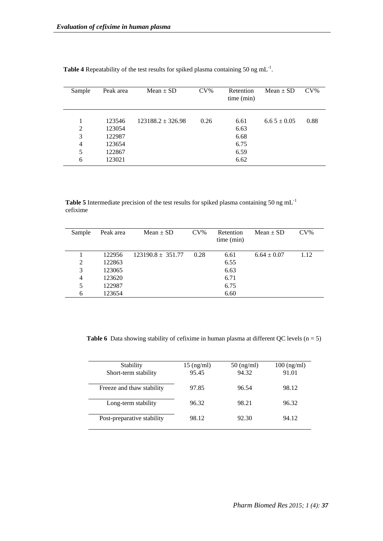| Sample                                  | Peak area                                                | $Mean \pm SD$       | $CV\%$ | Retention<br>time (min)                      | Mean $\pm$ SD   | $CV\%$ |
|-----------------------------------------|----------------------------------------------------------|---------------------|--------|----------------------------------------------|-----------------|--------|
| 1<br>2<br>3<br>$\overline{4}$<br>5<br>6 | 123546<br>123054<br>122987<br>123654<br>122867<br>123021 | $123188.2 + 326.98$ | 0.26   | 6.61<br>6.63<br>6.68<br>6.75<br>6.59<br>6.62 | $6.65 \pm 0.05$ | 0.88   |

**Table 4** Repeatability of the test results for spiked plasma containing 50 ng mL $^{-1}$ .

Table 5 Intermediate precision of the test results for spiked plasma containing 50 ng mL<sup>-1</sup> cefixime

| Sample         | Peak area | Mean $\pm$ SD         | $CV\%$ | Retention<br>time (min) | Mean $\pm$ SD   | $CV\%$ |
|----------------|-----------|-----------------------|--------|-------------------------|-----------------|--------|
|                | 122956    | $123190.8 \pm 351.77$ | 0.28   | 6.61                    | $6.64 \pm 0.07$ | 1.12   |
| $\overline{2}$ | 122863    |                       |        | 6.55                    |                 |        |
| 3              | 123065    |                       |        | 6.63                    |                 |        |
| 4              | 123620    |                       |        | 6.71                    |                 |        |
| 5              | 122987    |                       |        | 6.75                    |                 |        |
| 6              | 123654    |                       |        | 6.60                    |                 |        |

**Table 6** Data showing stability of cefixime in human plasma at different QC levels  $(n = 5)$ 

| Stability                  | $15 \text{ (ng/ml)}$ | $50 \text{ (ng/ml)}$ | $100$ (ng/ml) |
|----------------------------|----------------------|----------------------|---------------|
| Short-term stability       | 95.45                | 94.32                | 91.01         |
|                            |                      |                      |               |
| Freeze and thaw stability  | 97.85                | 96.54                | 98.12         |
|                            |                      |                      |               |
| Long-term stability        | 96.32                | 98.21                | 96.32         |
|                            |                      |                      |               |
| Post-preparative stability | 98.12                | 92.30                | 94.12         |
|                            |                      |                      |               |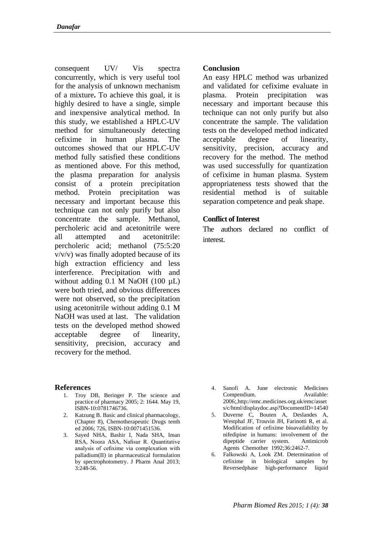consequent UV/ Vis spectra concurrently, which is very useful tool for the analysis of unknown mechanism of a mixture**.** To achieve this goal, it is highly desired to have a single, simple and inexpensive analytical method. In this study, we established a HPLC-UV method for simultaneously detecting cefixime in human plasma. The outcomes showed that our HPLC-UV method fully satisfied these conditions as mentioned above. For this method, the plasma preparation for analysis consist of a protein precipitation method. Protein precipitation was necessary and important because this technique can not only purify but also concentrate the sample. Methanol, percholeric acid and acetonitrile were all attempted and acetonitrile: percholeric acid; methanol (75:5:20 v/v/v) was finally adopted because of its high extraction efficiency and less interference. Precipitation with and without adding 0.1 M NaOH (100 µL) were both tried, and obvious differences were not observed, so the precipitation using acetonitrile without adding 0.1 M NaOH was used at last. The validation tests on the developed method showed acceptable degree of linearity, sensitivity, precision, accuracy and recovery for the method.

#### **References**

- 1. Troy DB, Beringer P. The science and practice of pharmacy 2005; 2: 1644. May 19, ISBN-10:0781746736.
- 2. Katzung B. Basic and clinical pharmacology, (Chapter 8), Chemotherapeutic Drugs tenth ed 2006; 726, ISBN-10:0071451536.
- 3. Sayed NHA, Bashir I, Nada SHA, Iman RSA, Noora ASA, Nafisur R. Quantitative analysis of cefixime via complexation with palladium(II) in pharmaceutical formulation by spectrophotometry. J Pharm Anal 2013; 3:248-56.

#### **Conclusion**

An easy HPLC method was urbanized and validated for cefixime evaluate in plasma. Protein precipitation was necessary and important because this technique can not only purify but also concentrate the sample. The validation tests on the developed method indicated acceptable degree of linearity, sensitivity, precision, accuracy and recovery for the method. The method was used successfully for quantization of cefixime in human plasma. System appropriateness tests showed that the residential method is of suitable separation competence and peak shape.

#### **Conflict of Interest**

The authors declared no conflict of interest.

- 4. Sanofi A. June electronic Medicines Compendium. Available: 2006[;,http://emc.medicines.org.uk/emc/asset](http://emc.medicines.org.uk/emc/assets/c/html/displaydoc.asp?DocumentID=14540) [s/c/html/displaydoc.asp?DocumentID=14540](http://emc.medicines.org.uk/emc/assets/c/html/displaydoc.asp?DocumentID=14540)
- 5. Duverne C, Bouten A, Deslandes A, Westphal JF, Trouvin JH, Farinotti R, et al. Modification of cefixime bioavailability by nifedipine in humans: involvement of the dipeptide carrier system. Antimicrob Agents Chemother 1992;36:2462-7.
- 6. Falkowski A, Look ZM. Determination of cefixime in biological samples by Reversedphase high-performance liquid